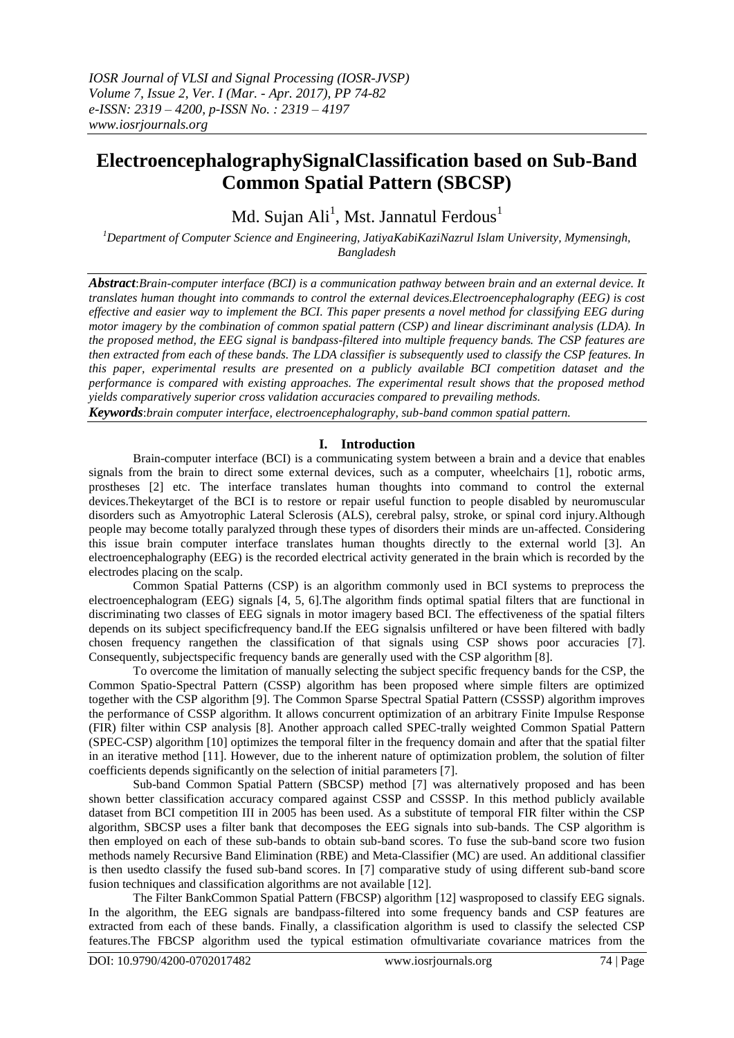# **ElectroencephalographySignalClassification based on Sub-Band Common Spatial Pattern (SBCSP)**

Md. Sujan Ali $^{\rm l}$ , Mst. Jannatul Ferdous $^{\rm l}$ 

*<sup>1</sup>Department of Computer Science and Engineering, JatiyaKabiKaziNazrul Islam University, Mymensingh, Bangladesh*

*Abstract*:*Brain-computer interface (BCI) is a communication pathway between brain and an external device. It translates human thought into commands to control the external devices.Electroencephalography (EEG) is cost effective and easier way to implement the BCI. This paper presents a novel method for classifying EEG during motor imagery by the combination of common spatial pattern (CSP) and linear discriminant analysis (LDA). In the proposed method, the EEG signal is bandpass-filtered into multiple frequency bands. The CSP features are then extracted from each of these bands. The LDA classifier is subsequently used to classify the CSP features. In this paper, experimental results are presented on a publicly available BCI competition dataset and the performance is compared with existing approaches. The experimental result shows that the proposed method yields comparatively superior cross validation accuracies compared to prevailing methods.*

*Keywords*:*brain computer interface, electroencephalography, sub-band common spatial pattern.*

## **I. Introduction**

Brain-computer interface (BCI) is a communicating system between a brain and a device that enables signals from the brain to direct some external devices, such as a computer, wheelchairs [1], robotic arms, prostheses [2] etc. The interface translates human thoughts into command to control the external devices.Thekeytarget of the BCI is to restore or repair useful function to people disabled by neuromuscular disorders such as Amyotrophic Lateral Sclerosis (ALS), cerebral palsy, stroke, or spinal cord injury.Although people may become totally paralyzed through these types of disorders their minds are un-affected. Considering this issue brain computer interface translates human thoughts directly to the external world [3]. An electroencephalography (EEG) is the recorded electrical activity generated in the brain which is recorded by the electrodes placing on the scalp.

Common Spatial Patterns (CSP) is an algorithm commonly used in BCI systems to preprocess the electroencephalogram (EEG) signals [4, 5, 6].The algorithm finds optimal spatial filters that are functional in discriminating two classes of EEG signals in motor imagery based BCI. The effectiveness of the spatial filters depends on its subject specificfrequency band.If the EEG signalsis unfiltered or have been filtered with badly chosen frequency rangethen the classification of that signals using CSP shows poor accuracies [7]. Consequently, subjectspecific frequency bands are generally used with the CSP algorithm [8].

To overcome the limitation of manually selecting the subject specific frequency bands for the CSP, the Common Spatio-Spectral Pattern (CSSP) algorithm has been proposed where simple filters are optimized together with the CSP algorithm [9]. The Common Sparse Spectral Spatial Pattern (CSSSP) algorithm improves the performance of CSSP algorithm. It allows concurrent optimization of an arbitrary Finite Impulse Response (FIR) filter within CSP analysis [8]. Another approach called SPEC-trally weighted Common Spatial Pattern (SPEC-CSP) algorithm [10] optimizes the temporal filter in the frequency domain and after that the spatial filter in an iterative method [11]. However, due to the inherent nature of optimization problem, the solution of filter coefficients depends significantly on the selection of initial parameters [7].

Sub-band Common Spatial Pattern (SBCSP) method [7] was alternatively proposed and has been shown better classification accuracy compared against CSSP and CSSSP. In this method publicly available dataset from BCI competition III in 2005 has been used. As a substitute of temporal FIR filter within the CSP algorithm, SBCSP uses a filter bank that decomposes the EEG signals into sub-bands. The CSP algorithm is then employed on each of these sub-bands to obtain sub-band scores. To fuse the sub-band score two fusion methods namely Recursive Band Elimination (RBE) and Meta-Classifier (MC) are used. An additional classifier is then usedto classify the fused sub-band scores. In [7] comparative study of using different sub-band score fusion techniques and classification algorithms are not available [12].

The Filter BankCommon Spatial Pattern (FBCSP) algorithm [12] wasproposed to classify EEG signals. In the algorithm, the EEG signals are bandpass-filtered into some frequency bands and CSP features are extracted from each of these bands. Finally, a classification algorithm is used to classify the selected CSP features.The FBCSP algorithm used the typical estimation ofmultivariate covariance matrices from the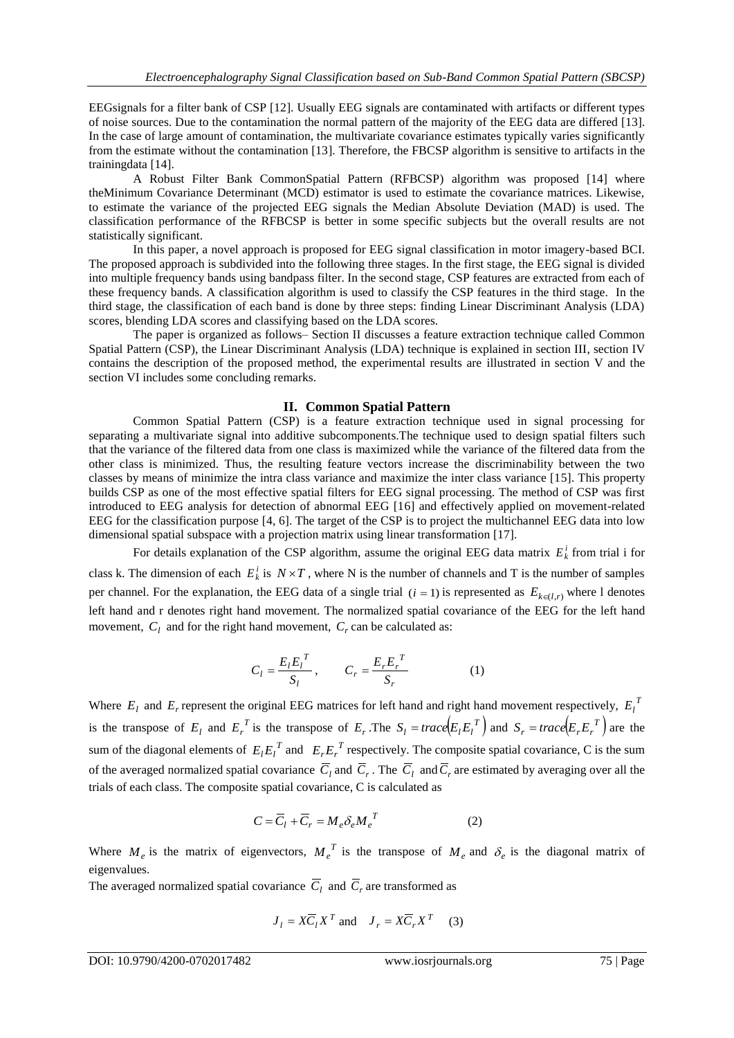EEGsignals for a filter bank of CSP [12]. Usually EEG signals are contaminated with artifacts or different types of noise sources. Due to the contamination the normal pattern of the majority of the EEG data are differed [13]. In the case of large amount of contamination, the multivariate covariance estimates typically varies significantly from the estimate without the contamination [13]. Therefore, the FBCSP algorithm is sensitive to artifacts in the trainingdata [14].

A Robust Filter Bank CommonSpatial Pattern (RFBCSP) algorithm was proposed [14] where theMinimum Covariance Determinant (MCD) estimator is used to estimate the covariance matrices. Likewise, to estimate the variance of the projected EEG signals the Median Absolute Deviation (MAD) is used. The classification performance of the RFBCSP is better in some specific subjects but the overall results are not statistically significant.

In this paper, a novel approach is proposed for EEG signal classification in motor imagery-based BCI. The proposed approach is subdivided into the following three stages. In the first stage, the EEG signal is divided into multiple frequency bands using bandpass filter. In the second stage, CSP features are extracted from each of these frequency bands. A classification algorithm is used to classify the CSP features in the third stage. In the third stage, the classification of each band is done by three steps: finding Linear Discriminant Analysis (LDA) scores, blending LDA scores and classifying based on the LDA scores.

The paper is organized as follows– Section II discusses a feature extraction technique called Common Spatial Pattern (CSP), the Linear Discriminant Analysis (LDA) technique is explained in section III, section IV contains the description of the proposed method, the experimental results are illustrated in section V and the section VI includes some concluding remarks.

## **II. Common Spatial Pattern**

Common Spatial Pattern (CSP) is a feature extraction technique used in signal processing for separating a multivariate signal into additive subcomponents.The technique used to design spatial filters such that the variance of the filtered data from one class is maximized while the variance of the filtered data from the other class is minimized. Thus, the resulting feature vectors increase the discriminability between the two classes by means of minimize the intra class variance and maximize the inter class variance [15]. This property builds CSP as one of the most effective spatial filters for EEG signal processing. The method of CSP was first introduced to EEG analysis for detection of abnormal EEG [16] and effectively applied on movement-related EEG for the classification purpose [4, 6]. The target of the CSP is to project the multichannel EEG data into low dimensional spatial subspace with a projection matrix using linear transformation [17].

For details explanation of the CSP algorithm, assume the original EEG data matrix  $E_k^i$  from trial i for class k. The dimension of each  $E_k^i$  is  $N \times T$ , where N is the number of channels and T is the number of samples per channel. For the explanation, the EEG data of a single trial  $(i = 1)$  is represented as  $E_{k \in (l,r)}$  where 1 denotes left hand and r denotes right hand movement. The normalized spatial covariance of the EEG for the left hand movement,  $C_l$  and for the right hand movement,  $C_r$  can be calculated as:

$$
C_{l} = \frac{E_{l}E_{l}^{T}}{S_{l}}, \qquad C_{r} = \frac{E_{r}E_{r}^{T}}{S_{r}}
$$
(1)

Where  $E_l$  and  $E_r$  represent the original EEG matrices for left hand and right hand movement respectively,  $E_l^T$ is the transpose of  $E_l$  and  $E_r^T$  is the transpose of  $E_r$ . The  $S_l = trace(E_l E_l^T)$  and  $S_r = trace(E_r E_r^T)$  are the sum of the diagonal elements of  $E_l E_l^T$  and  $E_r E_r^T$  respectively. The composite spatial covariance, C is the sum of the averaged normalized spatial covariance  $C_l$  and  $C_r$ . The  $C_l$  and  $C_r$  are estimated by averaging over all the trials of each class. The composite spatial covariance, C is calculated as

$$
C = \overline{C}_l + \overline{C}_r = M_e \delta_e M_e^T
$$
 (2)

Where  $M_e$  is the matrix of eigenvectors,  $M_e^T$  is the transpose of  $M_e$  and  $\delta_e$  is the diagonal matrix of eigenvalues.

The averaged normalized spatial covariance  $C_l$  and  $C_r$  are transformed as

$$
J_l = X\overline{C}_l X^T
$$
 and  $J_r = X\overline{C}_r X^T$  (3)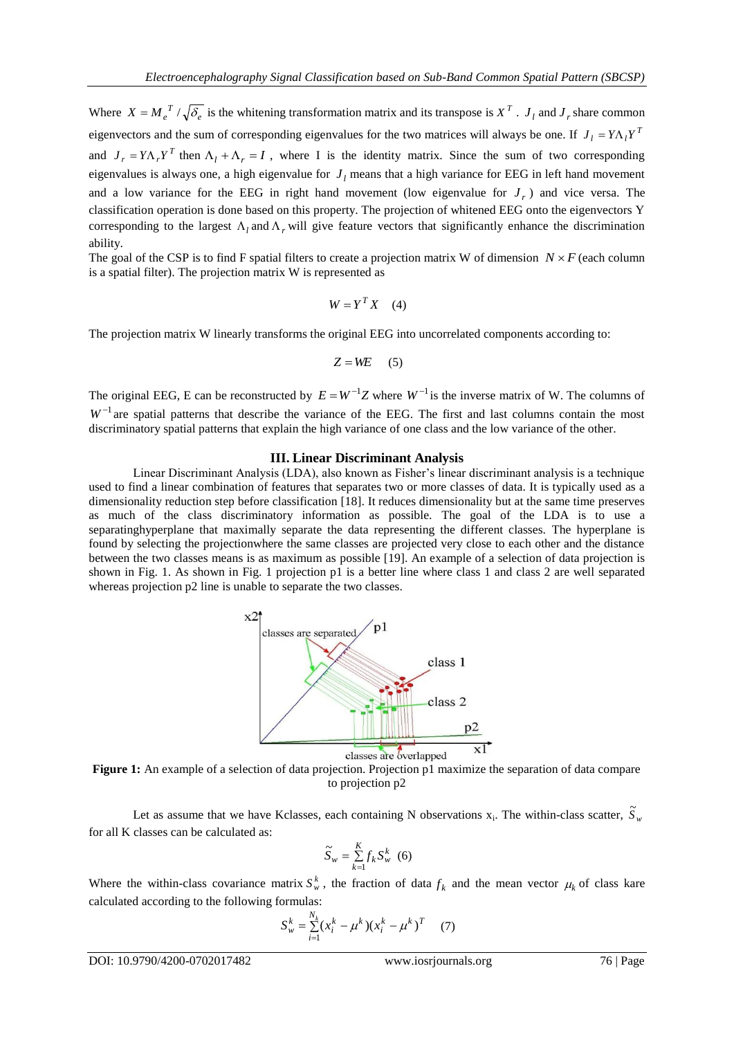Where  $X = M_e^T / \sqrt{\delta_e}$  is the whitening transformation matrix and its transpose is  $X^T$ .  $J_i$  and  $J_r$  share common eigenvectors and the sum of corresponding eigenvalues for the two matrices will always be one. If  $J_l = Y \Lambda_l Y^T$ and  $J_r = Y \Lambda_r Y^T$  then  $\Lambda_l + \Lambda_r = I$ , where I is the identity matrix. Since the sum of two corresponding eigenvalues is always one, a high eigenvalue for  $J_l$  means that a high variance for EEG in left hand movement and a low variance for the EEG in right hand movement (low eigenvalue for  $J_r$ ) and vice versa. The classification operation is done based on this property. The projection of whitened EEG onto the eigenvectors Y corresponding to the largest  $\Lambda_l$  and  $\Lambda_r$  will give feature vectors that significantly enhance the discrimination ability.

The goal of the CSP is to find F spatial filters to create a projection matrix W of dimension  $N \times F$  (each column is a spatial filter). The projection matrix W is represented as

$$
W = Y^T X \quad (4)
$$

The projection matrix W linearly transforms the original EEG into uncorrelated components according to:

$$
Z = WE \qquad (5)
$$

The original EEG, E can be reconstructed by  $E = W^{-1}Z$  where  $W^{-1}$  is the inverse matrix of W. The columns of  $W^{-1}$  are spatial patterns that describe the variance of the EEG. The first and last columns contain the most discriminatory spatial patterns that explain the high variance of one class and the low variance of the other.

### **III. Linear Discriminant Analysis**

Linear Discriminant Analysis (LDA), also known as Fisher"s linear discriminant analysis is a technique used to find a linear combination of features that separates two or more classes of data. It is typically used as a dimensionality reduction step before classification [18]. It reduces dimensionality but at the same time preserves as much of the class discriminatory information as possible. The goal of the LDA is to use a separatinghyperplane that maximally separate the data representing the different classes. The hyperplane is found by selecting the projectionwhere the same classes are projected very close to each other and the distance between the two classes means is as maximum as possible [19]. An example of a selection of data projection is shown in Fig. 1. As shown in Fig. 1 projection p1 is a better line where class 1 and class 2 are well separated whereas projection p2 line is unable to separate the two classes.



**Figure 1:** An example of a selection of data projection. Projection p1 maximize the separation of data compare to projection p2

Let as assume that we have Kclasses, each containing N observations  $x_i$ . The within-class scatter,  $\tilde{S}_w$ for all K classes can be calculated as:

$$
\widetilde{S}_w = \sum_{k=1}^K f_k S_w^k \quad (6)
$$

Where the within-class covariance matrix  $S_w^k$ , the fraction of data  $f_k$  and the mean vector  $\mu_k$  of class kare calculated according to the following formulas:

$$
S_w^k = \sum_{i=1}^{N_k} (x_i^k - \mu^k)(x_i^k - \mu^k)^T \qquad (7)
$$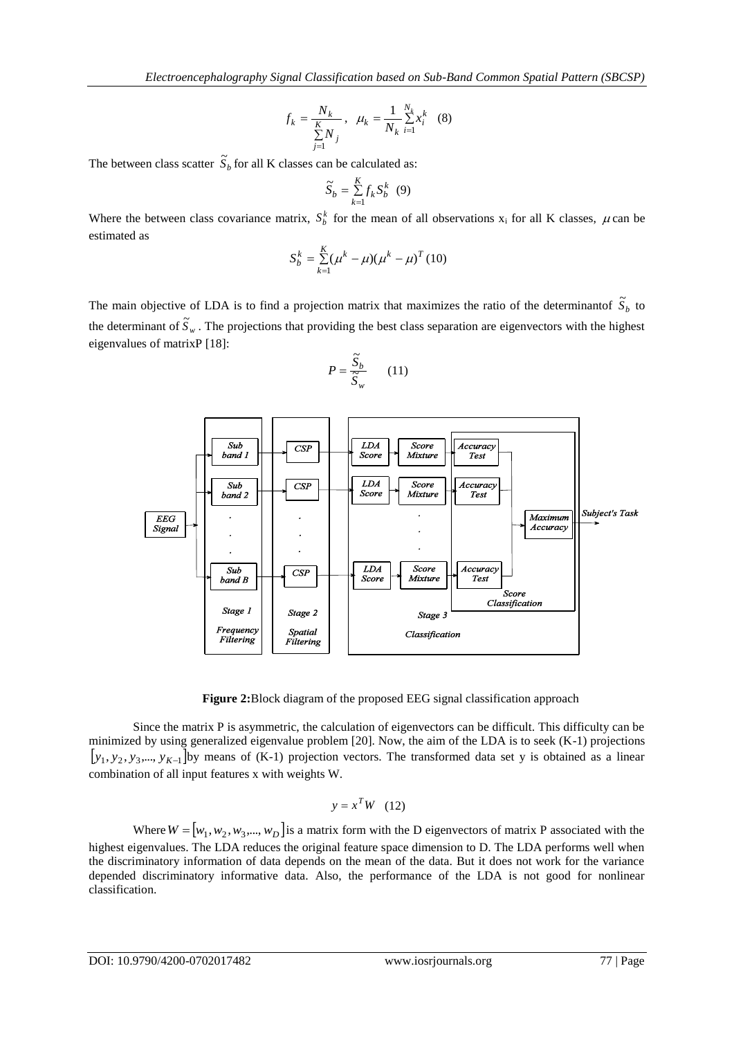$$
f_k = \frac{N_k}{\sum_{j=1}^{K} N_j}, \ \mu_k = \frac{1}{N_k} \sum_{i=1}^{N_k} x_i^k \quad (8)
$$

The between class scatter  $\tilde{S}_b$  for all K classes can be calculated as:

$$
\widetilde{S}_b = \sum_{k=1}^K f_k S_b^k \quad (9)
$$

Where the between class covariance matrix,  $S_b^k$  for the mean of all observations  $x_i$  for all K classes,  $\mu$  can be estimated as

$$
S_b^k = \sum_{k=1}^K (\mu^k - \mu) (\mu^k - \mu)^T (10)
$$

The main objective of LDA is to find a projection matrix that maximizes the ratio of the determinantof  $\tilde{S}_b$  to the determinant of  $\tilde{S}_w$ . The projections that providing the best class separation are eigenvectors with the highest eigenvalues of matrixP [18]:

$$
P = \frac{\widetilde{S}_b}{\widetilde{S}_w} \qquad (11)
$$



**Figure 2:**Block diagram of the proposed EEG signal classification approach

Since the matrix P is asymmetric, the calculation of eigenvectors can be difficult. This difficulty can be minimized by using generalized eigenvalue problem [20]. Now, the aim of the LDA is to seek (K-1) projections  $[y_1, y_2, y_3, \ldots, y_{K-1}]$  by means of (K-1) projection vectors. The transformed data set y is obtained as a linear combination of all input features x with weights W.

$$
y = x^T W \quad (12)
$$

Where  $W = [w_1, w_2, w_3, ..., w_D]$  is a matrix form with the D eigenvectors of matrix P associated with the highest eigenvalues. The LDA reduces the original feature space dimension to D. The LDA performs well when the discriminatory information of data depends on the mean of the data. But it does not work for the variance depended discriminatory informative data. Also, the performance of the LDA is not good for nonlinear classification.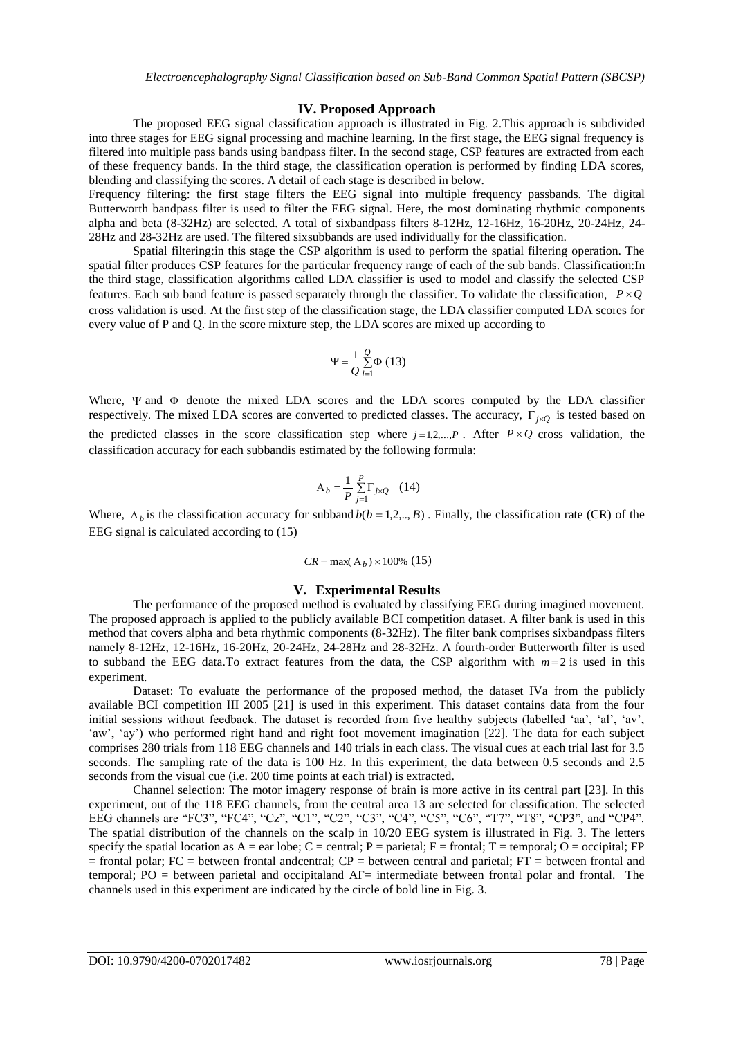#### **IV. Proposed Approach**

The proposed EEG signal classification approach is illustrated in Fig. 2.This approach is subdivided into three stages for EEG signal processing and machine learning. In the first stage, the EEG signal frequency is filtered into multiple pass bands using bandpass filter. In the second stage, CSP features are extracted from each of these frequency bands. In the third stage, the classification operation is performed by finding LDA scores, blending and classifying the scores. A detail of each stage is described in below.

Frequency filtering: the first stage filters the EEG signal into multiple frequency passbands. The digital Butterworth bandpass filter is used to filter the EEG signal. Here, the most dominating rhythmic components alpha and beta (8-32Hz) are selected. A total of sixbandpass filters 8-12Hz, 12-16Hz, 16-20Hz, 20-24Hz, 24- 28Hz and 28-32Hz are used. The filtered sixsubbands are used individually for the classification.

Spatial filtering:in this stage the CSP algorithm is used to perform the spatial filtering operation. The spatial filter produces CSP features for the particular frequency range of each of the sub bands. Classification:In the third stage, classification algorithms called LDA classifier is used to model and classify the selected CSP features. Each sub band feature is passed separately through the classifier. To validate the classification,  $P \times Q$ cross validation is used. At the first step of the classification stage, the LDA classifier computed LDA scores for every value of P and Q. In the score mixture step, the LDA scores are mixed up according to

$$
\Psi = \frac{1}{Q} \sum_{i=1}^{Q} \Phi (13)
$$

Where,  $\Psi$  and  $\Phi$  denote the mixed LDA scores and the LDA scores computed by the LDA classifier respectively. The mixed LDA scores are converted to predicted classes. The accuracy,  $\Gamma_{j \times Q}$  is tested based on the predicted classes in the score classification step where  $j=1,2,...,P$ . After  $P\times Q$  cross validation, the classification accuracy for each subbandis estimated by the following formula:

$$
A_b = \frac{1}{P} \sum_{j=1}^{P} \Gamma_{j \times Q} \quad (14)
$$

Where,  $A_b$  is the classification accuracy for subband  $b(b = 1, 2, \ldots, B)$ . Finally, the classification rate (CR) of the EEG signal is calculated according to (15)

## $CR = \max(A_b) \times 100\%$  (15)

#### **V. Experimental Results**

The performance of the proposed method is evaluated by classifying EEG during imagined movement. The proposed approach is applied to the publicly available BCI competition dataset. A filter bank is used in this method that covers alpha and beta rhythmic components (8-32Hz). The filter bank comprises sixbandpass filters namely 8-12Hz, 12-16Hz, 16-20Hz, 20-24Hz, 24-28Hz and 28-32Hz. A fourth-order Butterworth filter is used to subband the EEG data. To extract features from the data, the CSP algorithm with  $m=2$  is used in this experiment.

Dataset: To evaluate the performance of the proposed method, the dataset IVa from the publicly available BCI competition III 2005 [21] is used in this experiment. This dataset contains data from the four initial sessions without feedback. The dataset is recorded from five healthy subjects (labelled 'aa', 'al', 'av', 'aw', 'ay') who performed right hand and right foot movement imagination [22]. The data for each subject comprises 280 trials from 118 EEG channels and 140 trials in each class. The visual cues at each trial last for 3.5 seconds. The sampling rate of the data is 100 Hz. In this experiment, the data between 0.5 seconds and 2.5 seconds from the visual cue (i.e. 200 time points at each trial) is extracted.

Channel selection: The motor imagery response of brain is more active in its central part [23]. In this experiment, out of the 118 EEG channels, from the central area 13 are selected for classification. The selected EEG channels are "FC3", "FC4", "Cz", "C1", "C2", "C3", "C4", "C5", "C6", "T7", "T8", "CP3", and "CP4". The spatial distribution of the channels on the scalp in 10/20 EEG system is illustrated in Fig. 3. The letters specify the spatial location as  $A = \text{ear lobe}$ ;  $C = \text{central}$ ;  $P = \text{partial}$ ;  $F = \text{frontal}$ ;  $T = \text{temporal}$ ;  $O = \text{occipital}$ ;  $FP$  $=$  frontal polar; FC  $=$  between frontal andcentral; CP  $=$  between central and parietal; FT  $=$  between frontal and temporal; PO = between parietal and occipitaland AF= intermediate between frontal polar and frontal. The channels used in this experiment are indicated by the circle of bold line in Fig. 3.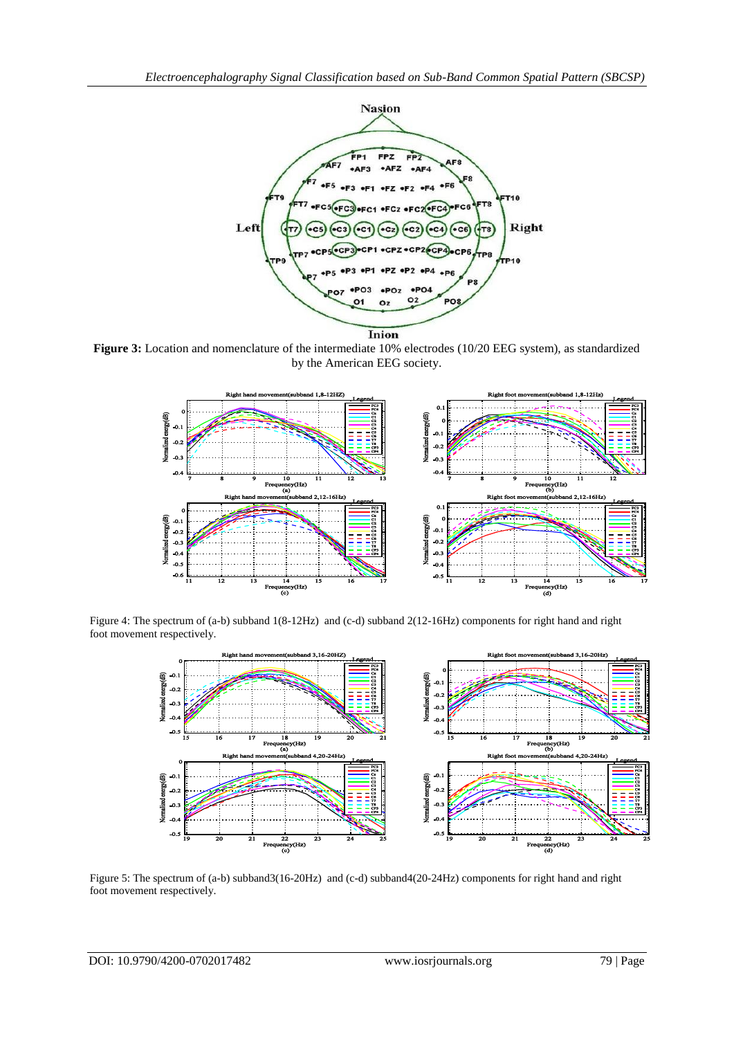

**Figure 3:** Location and nomenclature of the intermediate 10% electrodes (10/20 EEG system), as standardized by the American EEG society.



Figure 4: The spectrum of (a-b) subband 1(8-12Hz) and (c-d) subband 2(12-16Hz) components for right hand and right foot movement respectively.



Figure 5: The spectrum of (a-b) subband3(16-20Hz) and (c-d) subband4(20-24Hz) components for right hand and right foot movement respectively.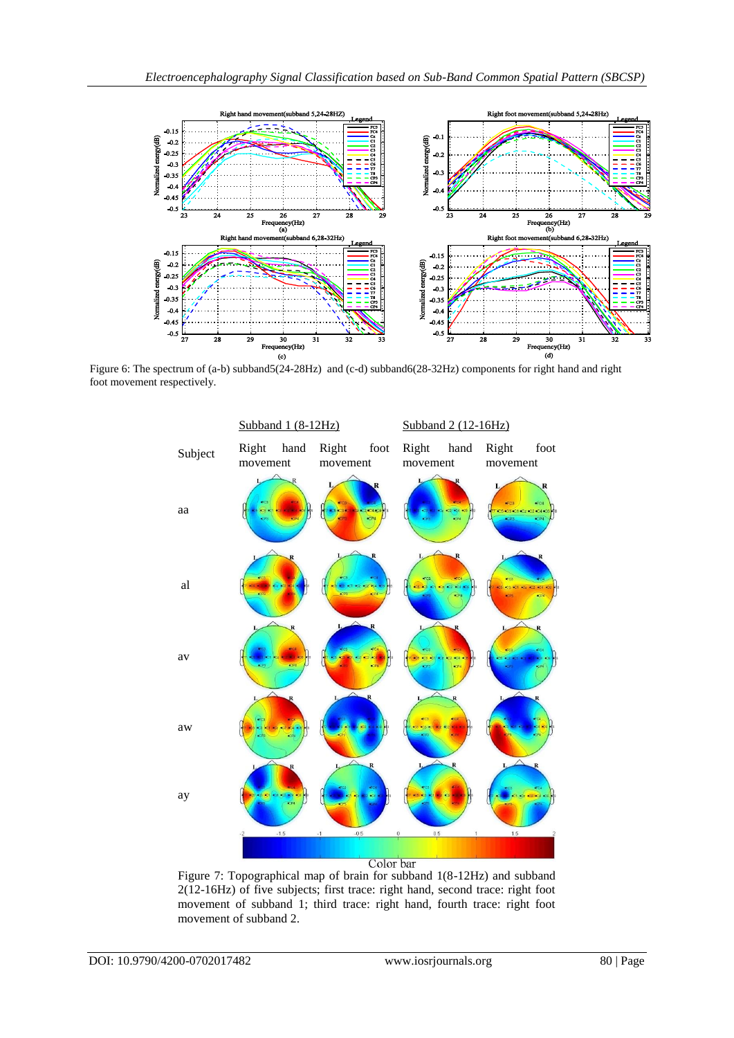

Figure 6: The spectrum of (a-b) subband5(24-28Hz) and (c-d) subband6(28-32Hz) components for right hand and right foot movement respectively.



Figure 7: Topographical map of brain for subband 1(8-12Hz) and subband 2(12-16Hz) of five subjects; first trace: right hand, second trace: right foot movement of subband 1; third trace: right hand, fourth trace: right foot movement of subband 2.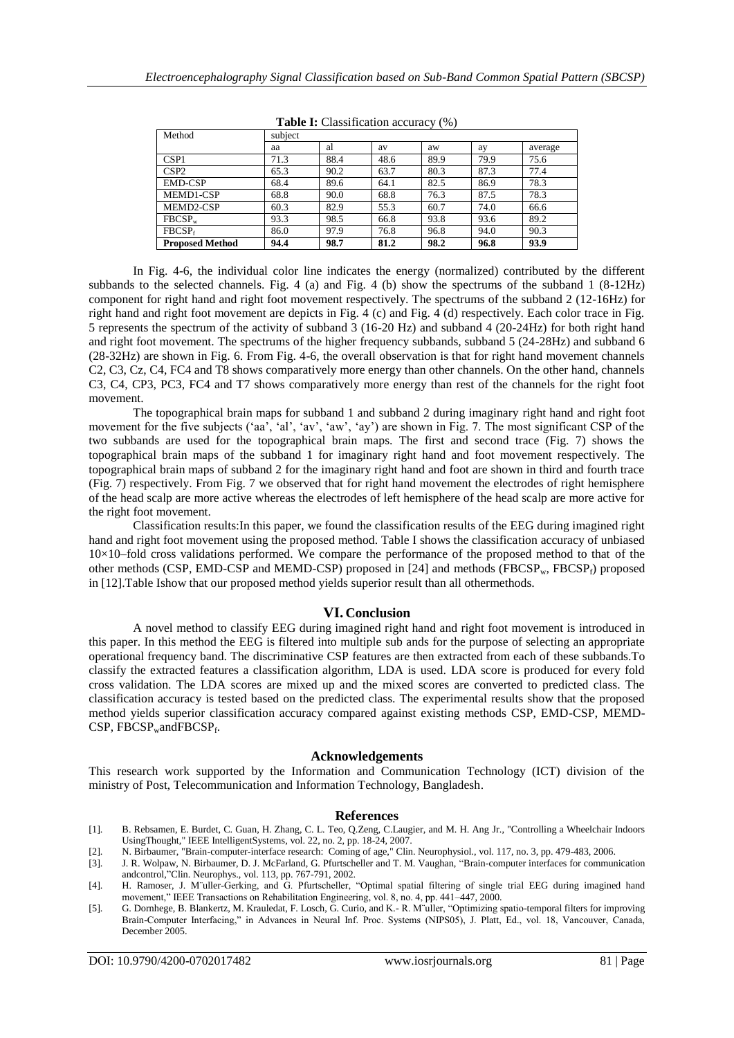| <b>Tuble 1.</b> Chapmineation accuracy $(70)$ |         |      |      |      |      |         |
|-----------------------------------------------|---------|------|------|------|------|---------|
| Method                                        | subject |      |      |      |      |         |
|                                               | aa      | al   | av   | aw   | ay   | average |
| CSP <sub>1</sub>                              | 71.3    | 88.4 | 48.6 | 89.9 | 79.9 | 75.6    |
| CSP <sub>2</sub>                              | 65.3    | 90.2 | 63.7 | 80.3 | 87.3 | 77.4    |
| <b>EMD-CSP</b>                                | 68.4    | 89.6 | 64.1 | 82.5 | 86.9 | 78.3    |
| MEMD1-CSP                                     | 68.8    | 90.0 | 68.8 | 76.3 | 87.5 | 78.3    |
| MEMD2-CSP                                     | 60.3    | 82.9 | 55.3 | 60.7 | 74.0 | 66.6    |
| $FBCSP_w$                                     | 93.3    | 98.5 | 66.8 | 93.8 | 93.6 | 89.2    |
| FBCSP <sub>f</sub>                            | 86.0    | 97.9 | 76.8 | 96.8 | 94.0 | 90.3    |
| <b>Proposed Method</b>                        | 94.4    | 98.7 | 81.2 | 98.2 | 96.8 | 93.9    |

**Table I:** Classification accuracy (%)

In Fig. 4-6, the individual color line indicates the energy (normalized) contributed by the different subbands to the selected channels. Fig. 4 (a) and Fig. 4 (b) show the spectrums of the subband 1 (8-12Hz) component for right hand and right foot movement respectively. The spectrums of the subband 2 (12-16Hz) for right hand and right foot movement are depicts in Fig. 4 (c) and Fig. 4 (d) respectively. Each color trace in Fig. 5 represents the spectrum of the activity of subband 3 (16-20 Hz) and subband 4 (20-24Hz) for both right hand and right foot movement. The spectrums of the higher frequency subbands, subband 5 (24-28Hz) and subband 6 (28-32Hz) are shown in Fig. 6. From Fig. 4-6, the overall observation is that for right hand movement channels C2, C3, Cz, C4, FC4 and T8 shows comparatively more energy than other channels. On the other hand, channels C3, C4, CP3, PC3, FC4 and T7 shows comparatively more energy than rest of the channels for the right foot movement.

The topographical brain maps for subband 1 and subband 2 during imaginary right hand and right foot movement for the five subjects ('aa', 'al', 'av', 'aw', 'ay') are shown in Fig. 7. The most significant CSP of the two subbands are used for the topographical brain maps. The first and second trace (Fig. 7) shows the topographical brain maps of the subband 1 for imaginary right hand and foot movement respectively. The topographical brain maps of subband 2 for the imaginary right hand and foot are shown in third and fourth trace (Fig. 7) respectively. From Fig. 7 we observed that for right hand movement the electrodes of right hemisphere of the head scalp are more active whereas the electrodes of left hemisphere of the head scalp are more active for the right foot movement.

Classification results:In this paper, we found the classification results of the EEG during imagined right hand and right foot movement using the proposed method. Table I shows the classification accuracy of unbiased 10×10–fold cross validations performed. We compare the performance of the proposed method to that of the other methods (CSP, EMD-CSP and MEMD-CSP) proposed in [24] and methods (FBCSP<sub>w</sub>, FBCSP<sub>f</sub>) proposed in [12].Table Ishow that our proposed method yields superior result than all othermethods.

## **VI. Conclusion**

A novel method to classify EEG during imagined right hand and right foot movement is introduced in this paper. In this method the EEG is filtered into multiple sub ands for the purpose of selecting an appropriate operational frequency band. The discriminative CSP features are then extracted from each of these subbands.To classify the extracted features a classification algorithm, LDA is used. LDA score is produced for every fold cross validation. The LDA scores are mixed up and the mixed scores are converted to predicted class. The classification accuracy is tested based on the predicted class. The experimental results show that the proposed method yields superior classification accuracy compared against existing methods CSP, EMD-CSP, MEMD- $CSP$ , FBCSP<sub>w</sub>andFBCSP<sub>f</sub>.

#### **Acknowledgements**

This research work supported by the Information and Communication Technology (ICT) division of the ministry of Post, Telecommunication and Information Technology, Bangladesh.

#### **References**

- [1]. B. Rebsamen, E. Burdet, C. Guan, H. Zhang, C. L. Teo, Q.Zeng, C.Laugier, and M. H. Ang Jr., "Controlling a Wheelchair Indoors UsingThought," IEEE IntelligentSystems, vol. 22, no. 2, pp. 18-24, 2007.
- [2]. N. Birbaumer, "Brain-computer-interface research: Coming of age," Clin. Neurophysiol., vol. 117, no. 3, pp. 479-483, 2006.
- [3]. J. R. Wolpaw, N. Birbaumer, D. J. McFarland, G. Pfurtscheller and T. M. Vaughan, "Brain-computer interfaces for communication andcontrol,"Clin. Neurophys., vol. 113, pp. 767-791, 2002.
- [4]. H. Ramoser, J. M¨uller-Gerking, and G. Pfurtscheller, "Optimal spatial filtering of single trial EEG during imagined hand movement," IEEE Transactions on Rehabilitation Engineering, vol. 8, no. 4, pp. 441–447, 2000.
- [5]. G. Dornhege, B. Blankertz, M. Krauledat, F. Losch, G. Curio, and K.- R. M¨uller, "Optimizing spatio-temporal filters for improving Brain-Computer Interfacing," in Advances in Neural Inf. Proc. Systems (NIPS05), J. Platt, Ed., vol. 18, Vancouver, Canada, December 2005.